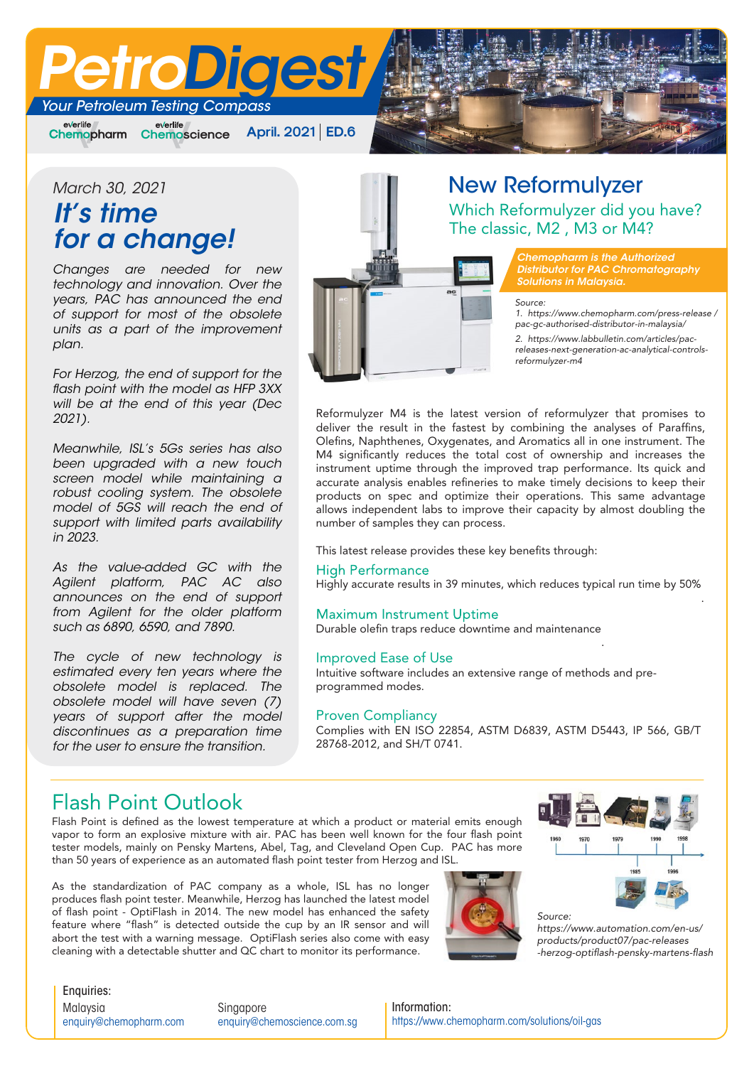# PetroDigest *Your Petroleum Testing Compass*

everlife everlife<br> **Chemopharm Chemoscience** everlife

**April. 2021 ED.6**

## *March 30, 2021 It's time for a change!*

*Changes are needed for new technology and innovation. Over the years, PAC has announced the end of support for most of the obsolete units as a part of the improvement plan.*

*For Herzog, the end of support for the flash point with the model as HFP 3XX will be at the end of this year (Dec 2021).* 

*Meanwhile, ISL's 5Gs series has also been upgraded with a new touch screen model while maintaining a robust cooling system. The obsolete model of 5GS will reach the end of support with limited parts availability in 2023.* 

*As the value-added GC with the Agilent platform, PAC AC also announces on the end of support from Agilent for the older platform such as 6890, 6590, and 7890.* 

*The cycle of new technology is estimated every ten years where the obsolete model is replaced. The obsolete model will have seven (7) years of support after the model discontinues as a preparation time for the user to ensure the transition.* 



### New Reformulyzer Which Reformulyzer did you have? The classic, M2 , M3 or M4?

*Chemopharm is the Authorized Distributor for PAC Chromatography Solutions in Malaysia.*

*Source:*

1. *[https://www.chemopharm.com/press-release](https://www.chemopharm.com/press-release/pac-gc-authorised-distributor-in-malaysia/) / pac-gc-authorised-distributor-in-malaysia/*

2. *[https://www.labbulletin.com/articles/pac](https://www.labbulletin.com/articles/pac-releases-next-generation-ac-analytical-controls-reformulyzer-m4)releases-next-generation-ac-analytical*-*controlsreformulyzer-m4*

Reformulyzer M4 is the latest version of reformulyzer that promises to deliver the result in the fastest by combining the analyses of Paraffins, Olefins, Naphthenes, Oxygenates, and Aromatics all in one instrument. The M4 significantly reduces the total cost of ownership and increases the instrument uptime through the improved trap performance. Its quick and accurate analysis enables refineries to make timely decisions to keep their products on spec and optimize their operations. This same advantage allows independent labs to improve their capacity by almost doubling the number of samples they can process.

This latest release provides these key benefits through:

#### **High Performance**

Highly accurate results in 39 minutes, which reduces typical run time by 50%

#### **Maximum Instrument Uptime**

Durable olefin traps reduce downtime and maintenance

#### Improved Ease of Use

Intuitive software includes an extensive range of methods and preprogrammed modes.

#### Proven Compliancy

Complies with EN ISO 22854, ASTM D6839, ASTM D5443, IP 566, GB/T 28768-2012, and SH/T 0741.

### Flash Point Outlook

Flash Point is defined as the lowest temperature at which a product or material emits enough vapor to form an explosive mixture with air. PAC has been well known for the four flash point tester models, mainly on Pensky Martens, Abel, Tag, and Cleveland Open Cup. PAC has more than 50 years of experience as an automated flash point tester from Herzog and ISL.

As the standardization of PAC company as a whole, ISL has no longer produces flash point tester. Meanwhile, Herzog has launched the latest model of flash point - OptiFlash in 2014. The new model has enhanced the safety feature where "flash" is detected outside the cup by an IR sensor and will abort the test with a warning message. OptiFlash series also come with easy cleaning with a detectable shutter and QC chart to monitor its performance.





.

.

*https://www.automation.com/en-us/ products/product07/pac-releases [-herzog-optiflash-pensky-martens-flash](https://www.automation.com/en-us/products/product07/pac-releases-herzog-optiflash-pensky-martens-flash)*

Enquiries: Malaysia enquiry@chemopharm.com

Singapore enquiry@chemoscience.com.sg Information: https://www.chemopharm.com/solutions/oil-gas